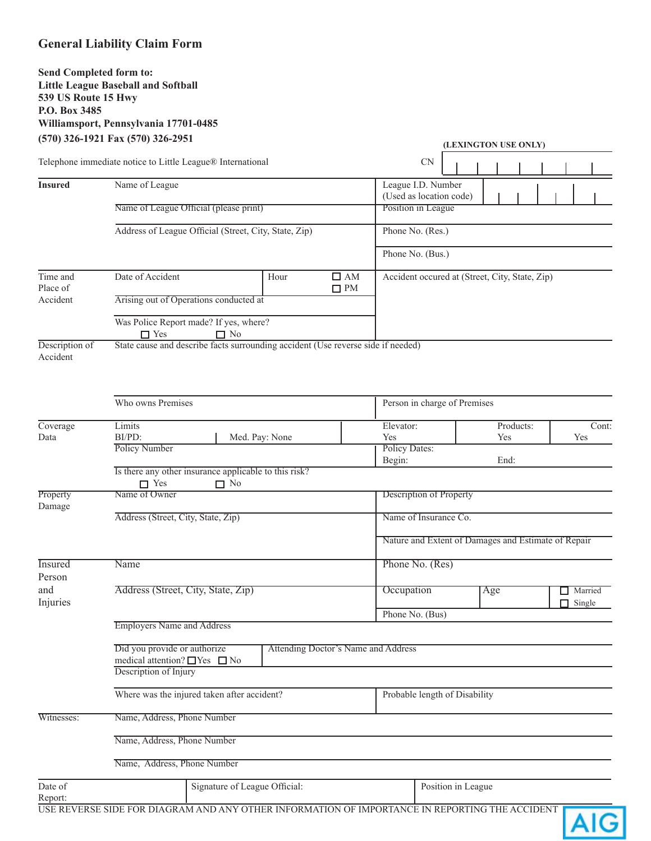# **General Liability Claim Form**

# **Send Completed form to: Little League Baseball and Softball 539 US Route 15 Hwy P.O. Box 3485 Williamsport, Pennsylvania 17701-0485 (570) 326-1921 Fax (570) 326-2951**

| $(3/0)$ 320-1921 Fax (3/0) 320-2931                        |                                                                                                                |                                                                                  |  |  | (LEXINGTON USE ONLY)                                |                                 |  |           |  |  |       |
|------------------------------------------------------------|----------------------------------------------------------------------------------------------------------------|----------------------------------------------------------------------------------|--|--|-----------------------------------------------------|---------------------------------|--|-----------|--|--|-------|
| Telephone immediate notice to Little League® International |                                                                                                                |                                                                                  |  |  |                                                     | <b>CN</b>                       |  |           |  |  |       |
| <b>Insured</b>                                             | Name of League                                                                                                 |                                                                                  |  |  | League I.D. Number                                  |                                 |  |           |  |  |       |
|                                                            | Name of League Official (please print)                                                                         |                                                                                  |  |  | (Used as location code)<br>Position in League       |                                 |  |           |  |  |       |
|                                                            | Address of League Official (Street, City, State, Zip)                                                          |                                                                                  |  |  | Phone No. (Res.)<br>Phone No. (Bus.)                |                                 |  |           |  |  |       |
|                                                            |                                                                                                                |                                                                                  |  |  |                                                     |                                 |  |           |  |  |       |
| Time and<br>Place of<br>Accident                           | Date of Accident<br>$\square$ AM<br>Hour<br>$\Box$ PM                                                          |                                                                                  |  |  | Accident occured at (Street, City, State, Zip)      |                                 |  |           |  |  |       |
|                                                            | Arising out of Operations conducted at                                                                         |                                                                                  |  |  |                                                     |                                 |  |           |  |  |       |
|                                                            | Was Police Report made? If yes, where?<br>$\Box$ Yes<br>$\Box$ No                                              |                                                                                  |  |  |                                                     |                                 |  |           |  |  |       |
| Description of<br>Accident                                 |                                                                                                                | State cause and describe facts surrounding accident (Use reverse side if needed) |  |  |                                                     |                                 |  |           |  |  |       |
|                                                            | Who owns Premises                                                                                              |                                                                                  |  |  | Person in charge of Premises                        |                                 |  |           |  |  |       |
| Coverage                                                   | Limits                                                                                                         |                                                                                  |  |  | Elevator:                                           |                                 |  | Products: |  |  | Cont: |
| Data                                                       | BI/PD:<br>Med. Pay: None                                                                                       |                                                                                  |  |  | Yes<br>Yes<br>Yes                                   |                                 |  |           |  |  |       |
|                                                            | <b>Policy Number</b>                                                                                           |                                                                                  |  |  | <b>Policy Dates:</b><br>Begin:<br>End:              |                                 |  |           |  |  |       |
|                                                            | Is there any other insurance applicable to this risk?<br>$\Box$ Yes<br>$\Box$ No                               |                                                                                  |  |  |                                                     |                                 |  |           |  |  |       |
| Property<br>Damage                                         | Name of Owner                                                                                                  |                                                                                  |  |  | Description of Property                             |                                 |  |           |  |  |       |
|                                                            | Address (Street, City, State, Zip)                                                                             |                                                                                  |  |  | Name of Insurance Co.                               |                                 |  |           |  |  |       |
|                                                            |                                                                                                                |                                                                                  |  |  | Nature and Extent of Damages and Estimate of Repair |                                 |  |           |  |  |       |
| <b>Insured</b>                                             | Name                                                                                                           | Phone No. (Res)                                                                  |  |  |                                                     |                                 |  |           |  |  |       |
| Person<br>and<br>Injuries                                  | Address (Street, City, State, Zip)                                                                             |                                                                                  |  |  | Occupation                                          | Married<br>Age<br>$\Box$ Single |  |           |  |  |       |
|                                                            |                                                                                                                |                                                                                  |  |  | Phone No. (Bus)                                     |                                 |  |           |  |  |       |
|                                                            | <b>Employers Name and Address</b>                                                                              |                                                                                  |  |  |                                                     |                                 |  |           |  |  |       |
|                                                            | Did you provide or authorize<br>Attending Doctor's Name and Address<br>medical attention? $\Box$ Yes $\Box$ No |                                                                                  |  |  |                                                     |                                 |  |           |  |  |       |
|                                                            | Description of Injury                                                                                          |                                                                                  |  |  |                                                     |                                 |  |           |  |  |       |
|                                                            | Where was the injured taken after accident?                                                                    |                                                                                  |  |  | Probable length of Disability                       |                                 |  |           |  |  |       |
| Witnesses:                                                 | Name, Address, Phone Number                                                                                    |                                                                                  |  |  |                                                     |                                 |  |           |  |  |       |
|                                                            | Name, Address, Phone Number                                                                                    |                                                                                  |  |  |                                                     |                                 |  |           |  |  |       |
|                                                            | Name, Address, Phone Number                                                                                    |                                                                                  |  |  |                                                     |                                 |  |           |  |  |       |
| Date of<br>Report:                                         | Signature of League Official:                                                                                  |                                                                                  |  |  | Position in League                                  |                                 |  |           |  |  |       |
|                                                            | LICE DEVEDCE CIDE FOR DIACRAM AND ANY OTHER INFORMATION OF IMPORTANCE IN REPORTING THE ACCIDENT                |                                                                                  |  |  |                                                     |                                 |  |           |  |  |       |